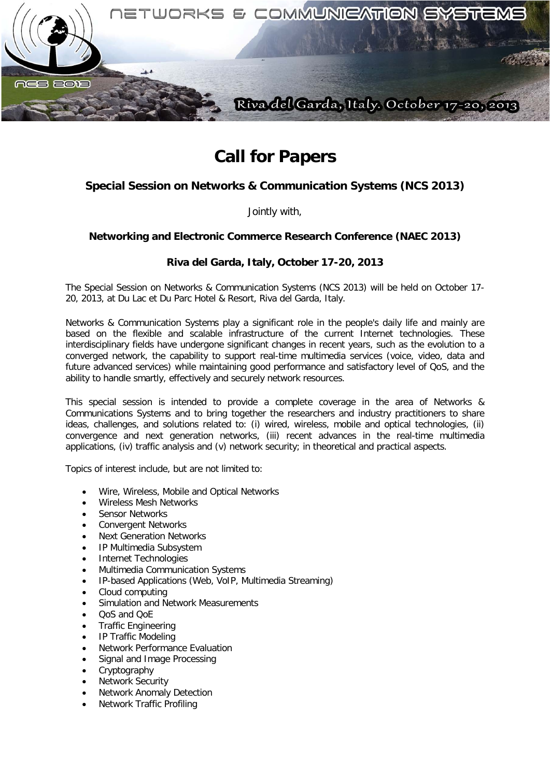

# **Call for Papers**

## **Special Session on Networks & Communication Systems (NCS 2013)**

Jointly with,

### **Networking and Electronic Commerce Research Conference (NAEC 2013)**

### **Riva del Garda, Italy, October 17-20, 2013**

The Special Session on Networks & Communication Systems (NCS 2013) will be held on October 17- 20, 2013, at Du Lac et Du Parc Hotel & Resort, Riva del Garda, Italy.

Networks & Communication Systems play a significant role in the people's daily life and mainly are based on the flexible and scalable infrastructure of the current Internet technologies. These interdisciplinary fields have undergone significant changes in recent years, such as the evolution to a converged network, the capability to support real-time multimedia services (voice, video, data and future advanced services) while maintaining good performance and satisfactory level of QoS, and the ability to handle smartly, effectively and securely network resources.

This special session is intended to provide a complete coverage in the area of Networks & Communications Systems and to bring together the researchers and industry practitioners to share ideas, challenges, and solutions related to: (i) wired, wireless, mobile and optical technologies, (ii) convergence and next generation networks, (iii) recent advances in the real-time multimedia applications, (iv) traffic analysis and (v) network security; in theoretical and practical aspects.

Topics of interest include, but are not limited to:

- Wire, Wireless, Mobile and Optical Networks
- Wireless Mesh Networks
- Sensor Networks
- Convergent Networks
- Next Generation Networks
- IP Multimedia Subsystem
- Internet Technologies
- Multimedia Communication Systems
- IP-based Applications (Web, VoIP, Multimedia Streaming)
- Cloud computing
- Simulation and Network Measurements
- QoS and QoE
- Traffic Engineering
- IP Traffic Modeling
- Network Performance Evaluation
- Signal and Image Processing
- **Cryptography**
- **Network Security**
- Network Anomaly Detection
- Network Traffic Profiling